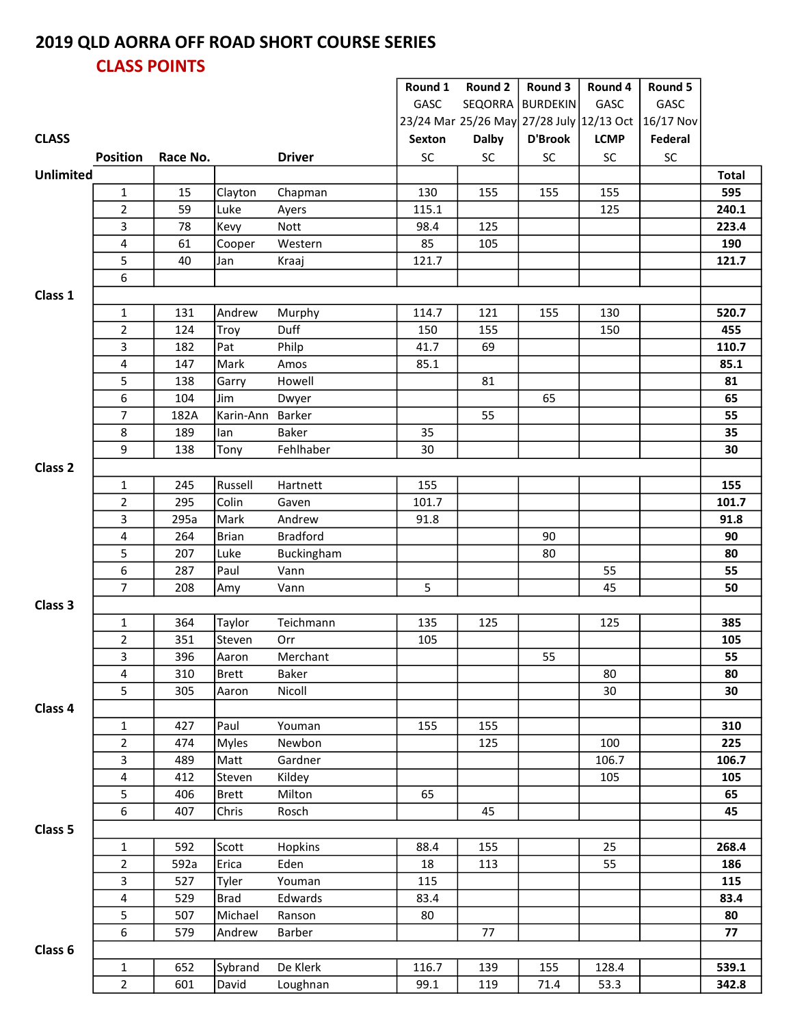## 2019 QLD AORRA OFF ROAD SHORT COURSE SERIES CLASS POINTS

|                    |                         |          |                  |                 | Round 1   | Round 2                                  | Round 3          | Round 4     | Round 5    |              |
|--------------------|-------------------------|----------|------------------|-----------------|-----------|------------------------------------------|------------------|-------------|------------|--------------|
|                    |                         |          |                  |                 | GASC      |                                          | SEQORRA BURDEKIN | GASC        | GASC       |              |
|                    |                         |          |                  |                 |           | 23/24 Mar 25/26 May 27/28 July 12/13 Oct |                  |             | 16/17 Nov  |              |
| <b>CLASS</b>       |                         |          |                  |                 | Sexton    | <b>Dalby</b>                             | <b>D'Brook</b>   | <b>LCMP</b> | Federal    |              |
|                    | <b>Position</b>         | Race No. |                  | <b>Driver</b>   | <b>SC</b> | SC                                       | SC               | <b>SC</b>   | ${\sf SC}$ |              |
| <b>Unlimited</b>   |                         |          |                  |                 |           |                                          |                  |             |            | <b>Total</b> |
|                    |                         |          |                  |                 |           |                                          |                  |             |            |              |
|                    | $\mathbf{1}$            | 15       | Clayton          | Chapman         | 130       | 155                                      | 155              | 155         |            | 595          |
|                    | $\overline{2}$          | 59       | Luke             | Ayers           | 115.1     |                                          |                  | 125         |            | 240.1        |
|                    | 3                       | 78       | Kevy             | Nott            | 98.4      | 125                                      |                  |             |            | 223.4        |
|                    | 4                       | 61       | Cooper           | Western         | 85        | 105                                      |                  |             |            | 190          |
|                    | 5                       | 40       | Jan              | Kraaj           | 121.7     |                                          |                  |             |            | 121.7        |
|                    | 6                       |          |                  |                 |           |                                          |                  |             |            |              |
| Class 1            |                         |          |                  |                 |           |                                          |                  |             |            |              |
|                    | $\mathbf{1}$            | 131      | Andrew           | Murphy          | 114.7     | 121                                      | 155              | 130         |            | 520.7        |
|                    | $\overline{2}$          | 124      | Troy             | Duff            | 150       | 155                                      |                  | 150         |            | 455          |
|                    | 3                       | 182      | Pat              | Philp           | 41.7      | 69                                       |                  |             |            | 110.7        |
|                    | 4                       | 147      | Mark             | Amos            | 85.1      |                                          |                  |             |            | 85.1         |
|                    | 5                       | 138      | Garry            | Howell          |           | 81                                       |                  |             |            | 81           |
|                    | 6                       | 104      | Jim              | Dwyer           |           |                                          | 65               |             |            | 65           |
|                    | $\overline{7}$          | 182A     | Karin-Ann Barker |                 |           | 55                                       |                  |             |            | 55           |
|                    | 8                       | 189      | lan              | Baker           | 35        |                                          |                  |             |            | 35           |
|                    | 9                       | 138      | Tony             | Fehlhaber       | 30        |                                          |                  |             |            | 30           |
| Class <sub>2</sub> |                         |          |                  |                 |           |                                          |                  |             |            |              |
|                    | $\mathbf{1}$            | 245      | Russell          | Hartnett        | 155       |                                          |                  |             |            | 155          |
|                    | $\overline{2}$          | 295      | Colin            | Gaven           | 101.7     |                                          |                  |             |            | 101.7        |
|                    | 3                       | 295a     | Mark             | Andrew          | 91.8      |                                          |                  |             |            | 91.8         |
|                    |                         |          | <b>Brian</b>     |                 |           |                                          |                  |             |            | 90           |
|                    | 4<br>5                  | 264      |                  | <b>Bradford</b> |           |                                          | 90               |             |            |              |
|                    |                         | 207      | Luke             | Buckingham      |           |                                          | 80               |             |            | 80           |
|                    | 6                       | 287      | Paul             | Vann            |           |                                          |                  | 55          |            | 55           |
|                    | $\overline{7}$          | 208      | Amy              | Vann            | 5         |                                          |                  | 45          |            | 50           |
| Class 3            |                         |          |                  |                 |           |                                          |                  |             |            |              |
|                    | 1                       | 364      | <b>Taylor</b>    | Teichmann       | 135       | 125                                      |                  | 125         |            | 385          |
|                    | $\mathbf 2$             | 351      | Steven           | Orr             | 105       |                                          |                  |             |            | 105          |
|                    | 3                       | 396      | Aaron            | Merchant        |           |                                          | 55               |             |            | 55           |
|                    | 4                       | 310      | <b>Brett</b>     | Baker           |           |                                          |                  | 80          |            | 80           |
|                    | 5                       | 305      | Aaron            | Nicoll          |           |                                          |                  | 30          |            | 30           |
| Class 4            |                         |          |                  |                 |           |                                          |                  |             |            |              |
|                    | $\mathbf{1}$            | 427      | Paul             | Youman          | 155       | 155                                      |                  |             |            | 310          |
|                    | $\overline{2}$          | 474      | <b>Myles</b>     | Newbon          |           | 125                                      |                  | 100         |            | 225          |
|                    | 3                       | 489      | Matt             | Gardner         |           |                                          |                  | 106.7       |            | 106.7        |
|                    | $\overline{\mathbf{4}}$ | 412      | Steven           | Kildey          |           |                                          |                  | 105         |            | 105          |
|                    | 5                       | 406      | <b>Brett</b>     | Milton          | 65        |                                          |                  |             |            | 65           |
|                    | 6                       | 407      | Chris            | Rosch           |           | 45                                       |                  |             |            | 45           |
| Class 5            |                         |          |                  |                 |           |                                          |                  |             |            |              |
|                    | 1                       | 592      | Scott            | Hopkins         | 88.4      | 155                                      |                  | 25          |            | 268.4        |
|                    | $\overline{2}$          | 592a     | Erica            | Eden            | 18        | 113                                      |                  | 55          |            | 186          |
|                    | 3                       | 527      | Tyler            | Youman          | 115       |                                          |                  |             |            | 115          |
|                    | 4                       | 529      | <b>Brad</b>      | Edwards         | 83.4      |                                          |                  |             |            | 83.4         |
|                    |                         |          |                  |                 |           |                                          |                  |             |            |              |
|                    | 5                       | 507      | Michael          | Ranson          | 80        |                                          |                  |             |            | 80           |
|                    | 6                       | 579      | Andrew           | Barber          |           | 77                                       |                  |             |            | 77           |
| Class 6            |                         |          |                  |                 |           |                                          |                  |             |            |              |
|                    | $\mathbf 1$             | 652      | Sybrand          | De Klerk        | 116.7     | 139                                      | 155              | 128.4       |            | 539.1        |
|                    | $\overline{2}$          | 601      | David            | Loughnan        | 99.1      | 119                                      | 71.4             | 53.3        |            | 342.8        |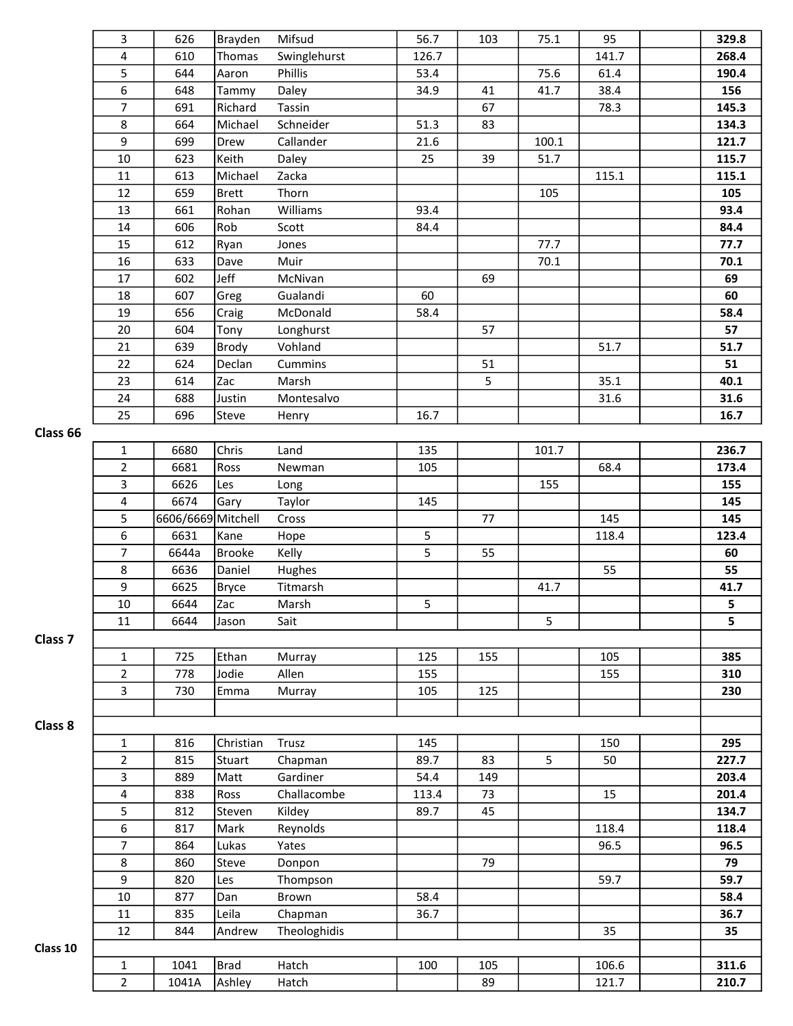|                    | 3                       | 626                | Brayden       | Mifsud       | 56.7  | 103 | 75.1  | 95    | 329.8 |
|--------------------|-------------------------|--------------------|---------------|--------------|-------|-----|-------|-------|-------|
|                    | $\overline{\mathbf{4}}$ | 610                | Thomas        | Swinglehurst | 126.7 |     |       | 141.7 | 268.4 |
|                    | 5                       | 644                | Aaron         | Phillis      | 53.4  |     | 75.6  | 61.4  | 190.4 |
|                    | 6                       | 648                | Tammy         | Daley        | 34.9  | 41  | 41.7  | 38.4  | 156   |
|                    | 7                       | 691                | Richard       | Tassin       |       | 67  |       | 78.3  | 145.3 |
|                    | 8                       | 664                | Michael       | Schneider    | 51.3  | 83  |       |       | 134.3 |
|                    | 9                       | 699                | Drew          | Callander    | 21.6  |     | 100.1 |       | 121.7 |
|                    | $10\,$                  | 623                | Keith         | Daley        | 25    | 39  | 51.7  |       | 115.7 |
|                    | 11                      | 613                | Michael       | Zacka        |       |     |       | 115.1 | 115.1 |
|                    | 12                      | 659                | <b>Brett</b>  | Thorn        |       |     | 105   |       | 105   |
|                    | 13                      | 661                | Rohan         | Williams     | 93.4  |     |       |       | 93.4  |
|                    | 14                      | 606                | Rob           | Scott        | 84.4  |     |       |       | 84.4  |
|                    | 15                      | 612                | Ryan          | Jones        |       |     | 77.7  |       | 77.7  |
|                    | 16                      | 633                | Dave          | Muir         |       |     | 70.1  |       | 70.1  |
|                    | 17                      | 602                | Jeff          | McNivan      |       | 69  |       |       | 69    |
|                    | 18                      | 607                | Greg          | Gualandi     | 60    |     |       |       | 60    |
|                    | 19                      | 656                | Craig         | McDonald     | 58.4  |     |       |       | 58.4  |
|                    | 20                      | 604                | Tony          | Longhurst    |       | 57  |       |       | 57    |
|                    | 21                      | 639                | Brody         | Vohland      |       |     |       | 51.7  | 51.7  |
|                    | 22                      | 624                | Declan        | Cummins      |       | 51  |       |       | 51    |
|                    | 23                      | 614                | Zac           | Marsh        |       | 5   |       | 35.1  | 40.1  |
|                    | 24                      | 688                | Justin        | Montesalvo   |       |     |       | 31.6  | 31.6  |
|                    | 25                      | 696                | Steve         | Henry        | 16.7  |     |       |       | 16.7  |
| Class 66           |                         |                    |               |              |       |     |       |       |       |
|                    | $\mathbf 1$             | 6680               | Chris         | Land         | 135   |     | 101.7 |       | 236.7 |
|                    | $\overline{2}$          | 6681               | Ross          | Newman       | 105   |     |       | 68.4  | 173.4 |
|                    | 3                       | 6626               | Les           | Long         |       |     | 155   |       | 155   |
|                    | 4                       | 6674               | Gary          | Taylor       | 145   |     |       |       | 145   |
|                    | 5                       | 6606/6669 Mitchell |               | Cross        |       | 77  |       | 145   | 145   |
|                    | 6                       | 6631               | Kane          | Hope         | 5     |     |       | 118.4 | 123.4 |
|                    | $\overline{7}$          | 6644a              | <b>Brooke</b> | Kelly        | 5     | 55  |       |       | 60    |
|                    | 8                       | 6636               | Daniel        | Hughes       |       |     |       | 55    | 55    |
|                    | 9                       | 6625               | <b>Bryce</b>  | Titmarsh     |       |     | 41.7  |       | 41.7  |
|                    | $10\,$                  | 6644               | Zac           | Marsh        | 5     |     |       |       | 5     |
|                    | 11                      | 6644               | Jason         | Sait         |       |     | 5     |       | 5     |
| Class <sub>7</sub> |                         |                    |               |              |       |     |       |       |       |
|                    | 1                       | 725                | Ethan         | Murray       | 125   | 155 |       | 105   | 385   |
|                    | $\overline{2}$          | 778                | Jodie         | Allen        | 155   |     |       | 155   | 310   |
|                    | 3                       | 730                | Emma          | Murray       | 105   | 125 |       |       | 230   |
|                    |                         |                    |               |              |       |     |       |       |       |
| Class 8            |                         |                    |               |              |       |     |       |       |       |
|                    | $\mathbf{1}$            | 816                | Christian     | Trusz        | 145   |     |       | 150   | 295   |
|                    | $\overline{2}$          | 815                | Stuart        | Chapman      | 89.7  | 83  | 5     | 50    | 227.7 |
|                    | 3                       | 889                | Matt          | Gardiner     | 54.4  | 149 |       |       | 203.4 |
|                    | $\pmb{4}$               | 838                | Ross          | Challacombe  | 113.4 | 73  |       | 15    | 201.4 |
|                    | 5                       | 812                | Steven        | Kildey       | 89.7  | 45  |       |       | 134.7 |
|                    | 6                       | 817                | Mark          | Reynolds     |       |     |       | 118.4 | 118.4 |
|                    | $\overline{7}$          | 864                | Lukas         | Yates        |       |     |       | 96.5  | 96.5  |
|                    | 8                       | 860                | Steve         | Donpon       |       | 79  |       |       | 79    |
|                    | 9                       | 820                | Les           | Thompson     |       |     |       | 59.7  | 59.7  |
|                    | 10                      | 877                | Dan           | Brown        | 58.4  |     |       |       | 58.4  |
|                    | 11                      | 835                | Leila         | Chapman      | 36.7  |     |       |       | 36.7  |
|                    | 12                      | 844                | Andrew        | Theologhidis |       |     |       | 35    | 35    |
| Class 10           |                         |                    |               |              |       |     |       |       |       |
|                    | $\mathbf{1}$            | 1041               | <b>Brad</b>   | Hatch        | 100   | 105 |       | 106.6 | 311.6 |
|                    |                         |                    |               |              |       |     |       |       |       |
|                    | $\overline{2}$          | 1041A              | Ashley        | Hatch        |       | 89  |       | 121.7 | 210.7 |